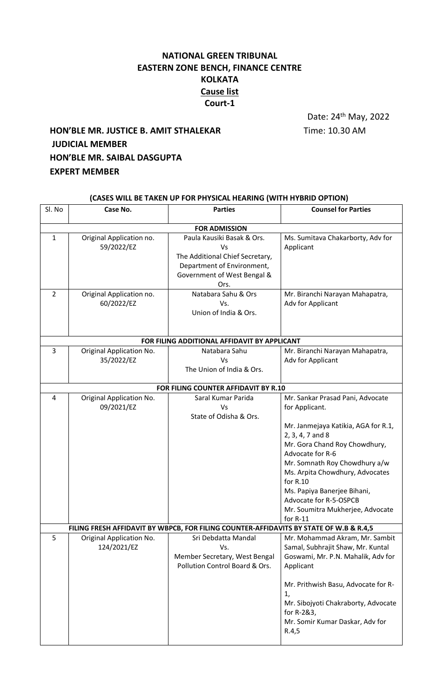## **NATIONAL GREEN TRIBUNAL EASTERN ZONE BENCH, FINANCE CENTRE KOLKATA Cause list Court-1**

Date: 24th May, 2022

## **HON'BLE MR. JUSTICE B. AMIT STHALEKAR** Time: 10.30 AM **JUDICIAL MEMBER HON'BLE MR. SAIBAL DASGUPTA EXPERT MEMBER**

| (CASES WILL BE TAKEN UP FOR PHYSICAL HEARING (WITH HYBRID OPTION)                      |                                         |                                                                                                                                          |                                                                                                                                                                                                                                                                      |  |  |
|----------------------------------------------------------------------------------------|-----------------------------------------|------------------------------------------------------------------------------------------------------------------------------------------|----------------------------------------------------------------------------------------------------------------------------------------------------------------------------------------------------------------------------------------------------------------------|--|--|
| Sl. No                                                                                 | Case No.                                | <b>Parties</b>                                                                                                                           | <b>Counsel for Parties</b>                                                                                                                                                                                                                                           |  |  |
|                                                                                        |                                         | <b>FOR ADMISSION</b>                                                                                                                     |                                                                                                                                                                                                                                                                      |  |  |
| $\mathbf{1}$                                                                           | Original Application no.<br>59/2022/EZ  | Paula Kausiki Basak & Ors.<br>Vs<br>The Additional Chief Secretary,<br>Department of Environment,<br>Government of West Bengal &<br>Ors. | Ms. Sumitava Chakarborty, Adv for<br>Applicant                                                                                                                                                                                                                       |  |  |
| $\overline{2}$                                                                         | Original Application no.<br>60/2022/EZ  | Natabara Sahu & Ors<br>Vs.<br>Union of India & Ors.                                                                                      | Mr. Biranchi Narayan Mahapatra,<br>Adv for Applicant                                                                                                                                                                                                                 |  |  |
| FOR FILING ADDITIONAL AFFIDAVIT BY APPLICANT                                           |                                         |                                                                                                                                          |                                                                                                                                                                                                                                                                      |  |  |
| 3                                                                                      | Original Application No.<br>35/2022/EZ  | Natabara Sahu<br>Vs<br>The Union of India & Ors.                                                                                         | Mr. Biranchi Narayan Mahapatra,<br>Adv for Applicant                                                                                                                                                                                                                 |  |  |
| FOR FILING COUNTER AFFIDAVIT BY R.10                                                   |                                         |                                                                                                                                          |                                                                                                                                                                                                                                                                      |  |  |
| 4                                                                                      | Original Application No.<br>09/2021/EZ  | Saral Kumar Parida<br>Vs<br>State of Odisha & Ors.                                                                                       | Mr. Sankar Prasad Pani, Advocate<br>for Applicant.<br>Mr. Janmejaya Katikia, AGA for R.1,<br>2, 3, 4, 7 and 8                                                                                                                                                        |  |  |
|                                                                                        |                                         |                                                                                                                                          | Mr. Gora Chand Roy Chowdhury,<br>Advocate for R-6<br>Mr. Somnath Roy Chowdhury a/w<br>Ms. Arpita Chowdhury, Advocates<br>for R.10<br>Ms. Papiya Banerjee Bihani,<br>Advocate for R-5-OSPCB<br>Mr. Soumitra Mukherjee, Advocate<br>for $R-11$                         |  |  |
| FILING FRESH AFFIDAVIT BY WBPCB, FOR FILING COUNTER-AFFIDAVITS BY STATE OF W.B & R.4,5 |                                         |                                                                                                                                          |                                                                                                                                                                                                                                                                      |  |  |
| 5                                                                                      | Original Application No.<br>124/2021/EZ | Sri Debdatta Mandal<br>Vs.<br>Member Secretary, West Bengal<br>Pollution Control Board & Ors.                                            | Mr. Mohammad Akram, Mr. Sambit<br>Samal, Subhrajit Shaw, Mr. Kuntal<br>Goswami, Mr. P.N. Mahalik, Adv for<br>Applicant<br>Mr. Prithwish Basu, Advocate for R-<br>1,<br>Mr. Sibojyoti Chakraborty, Advocate<br>for R-2&3,<br>Mr. Somir Kumar Daskar, Adv for<br>R.4,5 |  |  |